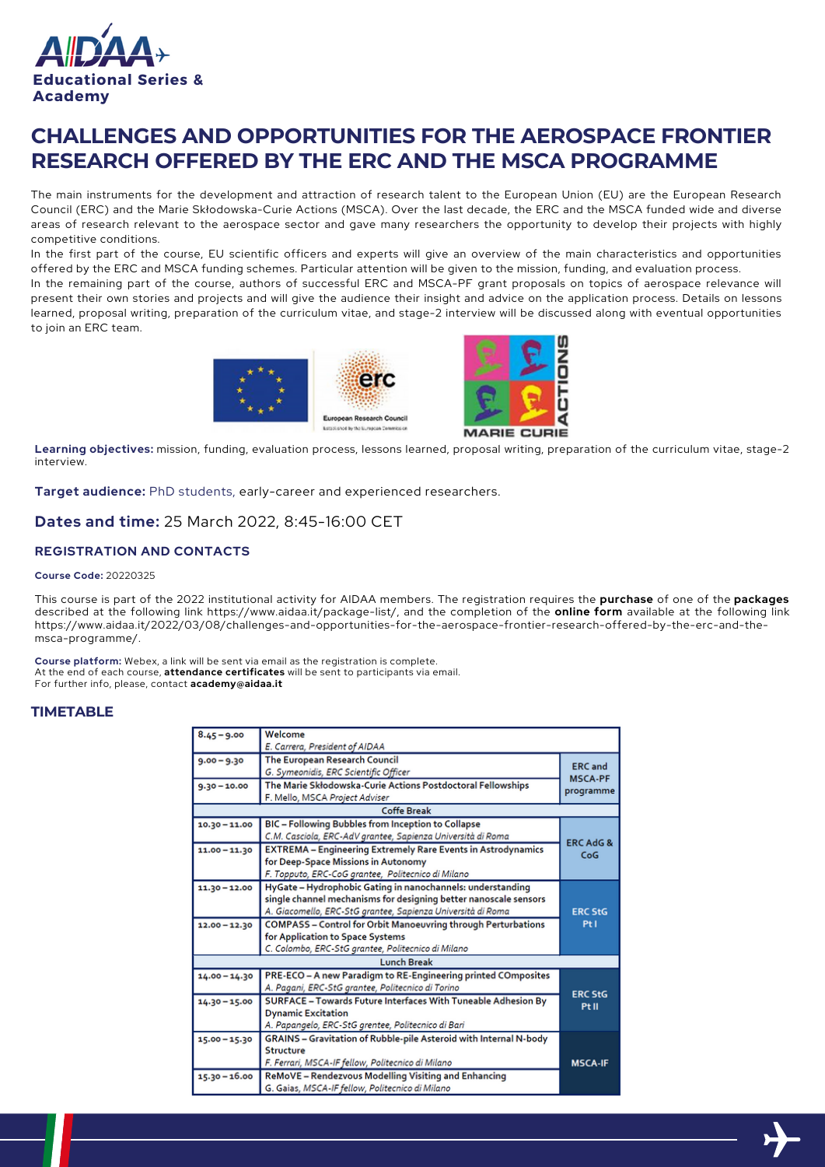

# **CHALLENGES AND OPPORTUNITIES FOR THE AEROSPACE FRONTIER RESEARCH OFFERED BY THE ERC AND THE MSCA PROGRAMME**

The main instruments for the development and attraction of research talent to the European Union (EU) are the European Research Council (ERC) and the Marie Skłodowska-Curie Actions (MSCA). Over the last decade, the ERC and the MSCA funded wide and diverse areas of research relevant to the aerospace sector and gave many researchers the opportunity to develop their projects with highly competitive conditions.

In the first part of the course, EU scientific officers and experts will give an overview of the main characteristics and opportunities offered by the ERC and MSCA funding schemes. Particular attention will be given to the mission, funding, and evaluation process.

In the remaining part of the course, authors of successful ERC and MSCA-PF grant proposals on topics of aerospace relevance will present their own stories and projects and will give the audience their insight and advice on the application process. Details on lessons learned, proposal writing, preparation of the curriculum vitae, and stage-2 interview will be discussed along with eventual opportunities to join an ERC team.





**Learning objectives:** mission, funding, evaluation process, lessons learned, proposal writing, preparation of the curriculum vitae, stage-2 interview.

**Target audience:** PhD students, early-career and experienced researchers.

## **Dates and time:** 25 March 2022, 8:45-16:00 CET

## **REGISTRATION AND CONTACTS**

#### **Course Code:** 20220325

This course is part of the 2022 institutional activity for AIDAA members. The registration requires the **purchase** of one of the **packages** described at the following link https://www.aidaa.it/package-list/, and the completion of the **online form** available at the following link https://www.aidaa.it/2022/03/08/challenges-and-opportunities-for-the-aerospace-frontier-research-offered-by-the-erc-and-themsca-programme/.

**Course platform:** Webex, a link will be sent via email as the registration is complete. At the end of each course, **attendance certificates** will be sent to participants via email. For further info, please, contact **academy@aidaa.it**

## **TIMETABLE**

| $8.45 - 9.00$      | Welcome                                                              |                      |
|--------------------|----------------------------------------------------------------------|----------------------|
|                    | E. Carrera, President of AIDAA                                       |                      |
| $9.00 - 9.30$      | The European Research Council                                        | <b>ERC</b> and       |
|                    | G. Symeonidis, ERC Scientific Officer                                | <b>MSCA-PF</b>       |
| $9.30 - 10.00$     | The Marie Skłodowska-Curie Actions Postdoctoral Fellowships          |                      |
|                    | F. Mello, MSCA Project Adviser                                       | programme            |
| Coffe Break        |                                                                      |                      |
| $10.30 - 11.00$    | BIC - Following Bubbles from Inception to Collapse                   |                      |
|                    | C.M. Casciola, ERC-AdV grantee, Sapienza Università di Roma          | <b>ERC AdG &amp;</b> |
| 11.00 - 11.30      | <b>EXTREMA - Engineering Extremely Rare Events in Astrodynamics</b>  | CoG                  |
|                    | for Deep-Space Missions in Autonomy                                  |                      |
|                    | F. Topputo, ERC-CoG grantee, Politecnico di Milano                   |                      |
| $11.30 - 12.00$    | HyGate - Hydrophobic Gating in nanochannels: understanding           |                      |
|                    | single channel mechanisms for designing better nanoscale sensors     |                      |
|                    | A. Giacomello, ERC-StG grantee, Sapienza Università di Roma          | <b>ERC StG</b>       |
| $12.00 - 12.30$    | <b>COMPASS - Control for Orbit Manoeuvring through Perturbations</b> | Ptl                  |
|                    | for Application to Space Systems                                     |                      |
|                    | C. Colombo, ERC-StG grantee, Politecnico di Milano                   |                      |
| <b>Lunch Break</b> |                                                                      |                      |
| 14.00 - 14.30      | PRE-ECO - A new Paradigm to RE-Engineering printed COmposites        |                      |
|                    | A. Pagani, ERC-StG grantee, Politecnico di Torino                    | <b>ERC StG</b>       |
| $14.30 - 15.00$    | SURFACE - Towards Future Interfaces With Tuneable Adhesion By        | Pt II                |
|                    | <b>Dynamic Excitation</b>                                            |                      |
|                    | A. Papangelo, ERC-StG grentee, Politecnico di Bari                   |                      |
| $15.00 - 15.30$    | GRAINS - Gravitation of Rubble-pile Asteroid with Internal N-body    |                      |
|                    | <b>Structure</b>                                                     |                      |
|                    | F. Ferrari, MSCA-IF fellow, Politecnico di Milano                    | <b>MSCA-IF</b>       |
| $15.30 - 16.00$    | ReMoVE - Rendezvous Modelling Visiting and Enhancing                 |                      |
|                    | G. Gaias, MSCA-IF fellow, Politecnico di Milano                      |                      |

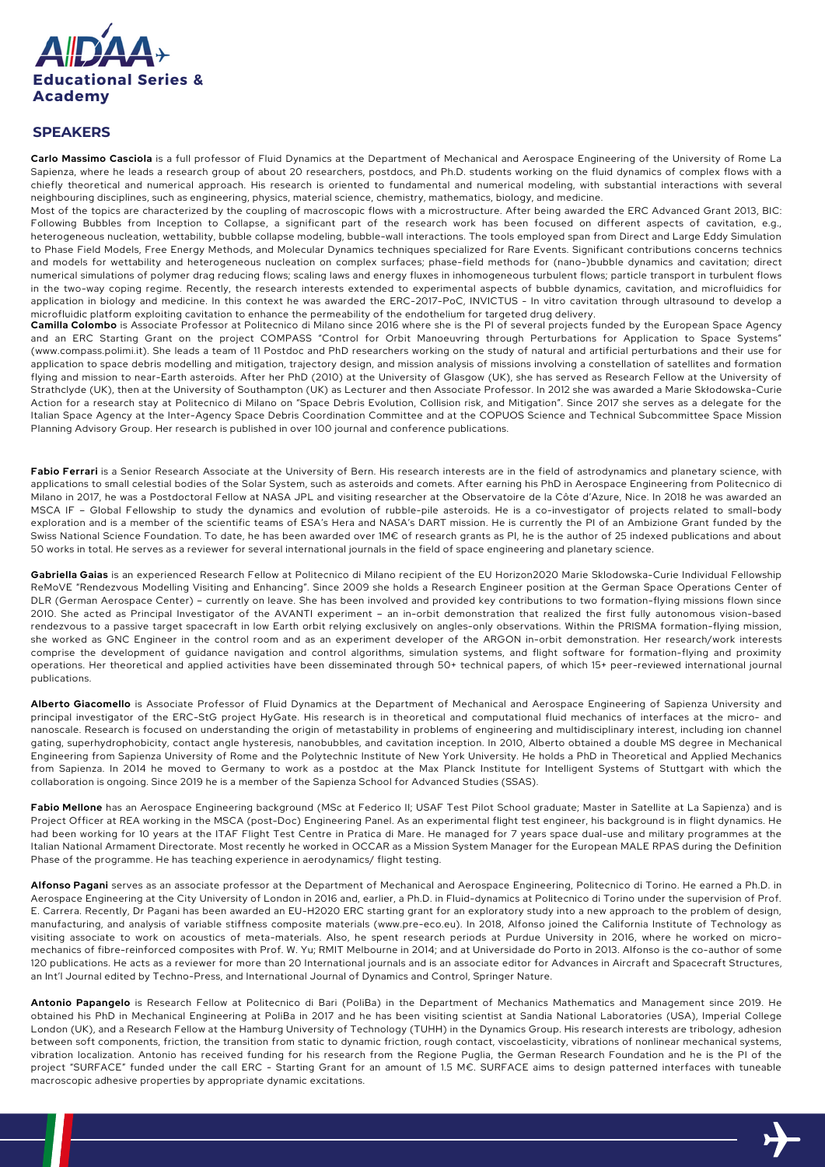

## **SPEAKERS**

**Carlo Massimo Casciola** is a full professor of Fluid Dynamics at the Department of Mechanical and Aerospace Engineering of the University of Rome La Sapienza, where he leads a research group of about 20 researchers, postdocs, and Ph.D. students working on the fluid dynamics of complex flows with a chiefly theoretical and numerical approach. His research is oriented to fundamental and numerical modeling, with substantial interactions with several neighbouring disciplines, such as engineering, physics, material science, chemistry, mathematics, biology, and medicine.

Most of the topics are characterized by the coupling of macroscopic flows with a microstructure. After being awarded the ERC Advanced Grant 2013, BIC: Following Bubbles from Inception to Collapse, a significant part of the research work has been focused on different aspects of cavitation, e.g., heterogeneous nucleation, wettability, bubble collapse modeling, bubble-wall interactions. The tools employed span from Direct and Large Eddy Simulation to Phase Field Models, Free Energy Methods, and Molecular Dynamics techniques specialized for Rare Events. Significant contributions concerns technics and models for wettability and heterogeneous nucleation on complex surfaces; phase-field methods for (nano-)bubble dynamics and cavitation; direct numerical simulations of polymer drag reducing flows; scaling laws and energy fluxes in inhomogeneous turbulent flows; particle transport in turbulent flows in the two-way coping regime. Recently, the research interests extended to experimental aspects of bubble dynamics, cavitation, and microfluidics for application in biology and medicine. In this context he was awarded the ERC-2017-PoC, INVICTUS - In vitro cavitation through ultrasound to develop a microfluidic platform exploiting cavitation to enhance the permeability of the endothelium for targeted drug delivery.

**Camilla Colombo** is Associate Professor at Politecnico di Milano since 2016 where she is the PI of several projects funded by the European Space Agency and an ERC Starting Grant on the project COMPASS "Control for Orbit Manoeuvring through Perturbations for Application to Space Systems" (www.compass.polimi.it). She leads a team of 11 Postdoc and PhD researchers working on the study of natural and artificial perturbations and their use for application to space debris modelling and mitigation, trajectory design, and mission analysis of missions involving a constellation of satellites and formation flying and mission to near-Earth asteroids. After her PhD (2010) at the University of Glasgow (UK), she has served as Research Fellow at the University of Strathclyde (UK), then at the University of Southampton (UK) as Lecturer and then Associate Professor. In 2012 she was awarded a Marie Skłodowska-Curie Action for a research stay at Politecnico di Milano on "Space Debris Evolution, Collision risk, and Mitigation". Since 2017 she serves as a delegate for the Italian Space Agency at the Inter-Agency Space Debris Coordination Committee and at the COPUOS Science and Technical Subcommittee Space Mission Planning Advisory Group. Her research is published in over 100 journal and conference publications.

Fabio Ferrari is a Senior Research Associate at the University of Bern. His research interests are in the field of astrodynamics and planetary science, with applications to small celestial bodies of the Solar System, such as asteroids and comets. After earning his PhD in Aerospace Engineering from Politecnico di Milano in 2017, he was a Postdoctoral Fellow at NASA JPL and visiting researcher at the Observatoire de la Côte d'Azure, Nice. In 2018 he was awarded an MSCA IF – Global Fellowship to study the dynamics and evolution of rubble-pile asteroids. He is a co-investigator of projects related to small-body exploration and is a member of the scientific teams of ESA's Hera and NASA's DART mission. He is currently the PI of an Ambizione Grant funded by the Swiss National Science Foundation. To date, he has been awarded over 1M€ of research grants as PI, he is the author of 25 indexed publications and about 50 works in total. He serves as a reviewer for several international journals in the field of space engineering and planetary science.

**Gabriella Gaias** is an experienced Research Fellow at Politecnico di Milano recipient of the EU Horizon2020 Marie Sklodowska-Curie Individual Fellowship ReMoVE "Rendezvous Modelling Visiting and Enhancing". Since 2009 she holds a Research Engineer position at the German Space Operations Center of DLR (German Aerospace Center) – currently on leave. She has been involved and provided key contributions to two formation-flying missions flown since 2010. She acted as Principal Investigator of the AVANTI experiment – an in-orbit demonstration that realized the first fully autonomous vision-based rendezvous to a passive target spacecraft in low Earth orbit relying exclusively on angles-only observations. Within the PRISMA formation-flying mission, she worked as GNC Engineer in the control room and as an experiment developer of the ARGON in-orbit demonstration. Her research/work interests comprise the development of guidance navigation and control algorithms, simulation systems, and flight software for formation-flying and proximity operations. Her theoretical and applied activities have been disseminated through 50+ technical papers, of which 15+ peer-reviewed international journal publications.

**Alberto Giacomello** is Associate Professor of Fluid Dynamics at the Department of Mechanical and Aerospace Engineering of Sapienza University and principal investigator of the ERC-StG project HyGate. His research is in theoretical and computational fluid mechanics of interfaces at the micro- and nanoscale. Research is focused on understanding the origin of metastability in problems of engineering and multidisciplinary interest, including ion channel gating, superhydrophobicity, contact angle hysteresis, nanobubbles, and cavitation inception. In 2010, Alberto obtained a double MS degree in Mechanical Engineering from Sapienza University of Rome and the Polytechnic Institute of New York University. He holds a PhD in Theoretical and Applied Mechanics from Sapienza. In 2014 he moved to Germany to work as a postdoc at the Max Planck Institute for Intelligent Systems of Stuttgart with which the collaboration is ongoing. Since 2019 he is a member of the Sapienza School for Advanced Studies (SSAS).

**Fabio Mellone** has an Aerospace Engineering background (MSc at Federico II; USAF Test Pilot School graduate; Master in Satellite at La Sapienza) and is Project Officer at REA working in the MSCA (post-Doc) Engineering Panel. As an experimental flight test engineer, his background is in flight dynamics. He had been working for 10 years at the ITAF Flight Test Centre in Pratica di Mare. He managed for 7 years space dual-use and military programmes at the Italian National Armament Directorate. Most recently he worked in OCCAR as a Mission System Manager for the European MALE RPAS during the Definition Phase of the programme. He has teaching experience in aerodynamics/ flight testing.

**Alfonso Pagani** serves as an associate professor at the Department of Mechanical and Aerospace Engineering, Politecnico di Torino. He earned a Ph.D. in Aerospace Engineering at the City University of London in 2016 and, earlier, a Ph.D. in Fluid-dynamics at Politecnico di Torino under the supervision of Prof. E. Carrera. Recently, Dr Pagani has been awarded an EU-H2020 ERC starting grant for an exploratory study into a new approach to the problem of design, manufacturing, and analysis of variable stiffness composite materials (www.pre-eco.eu). In 2018, Alfonso joined the California Institute of Technology as visiting associate to work on acoustics of meta-materials. Also, he spent research periods at Purdue University in 2016, where he worked on micromechanics of fibre-reinforced composites with Prof. W. Yu; RMIT Melbourne in 2014; and at Universidade do Porto in 2013. Alfonso is the co-author of some 120 publications. He acts as a reviewer for more than 20 International journals and is an associate editor for Advances in Aircraft and Spacecraft Structures, an Int'l Journal edited by Techno-Press, and International Journal of Dynamics and Control, Springer Nature.

**Antonio Papangelo** is Research Fellow at Politecnico di Bari (PoliBa) in the Department of Mechanics Mathematics and Management since 2019. He obtained his PhD in Mechanical Engineering at PoliBa in 2017 and he has been visiting scientist at Sandia National Laboratories (USA), Imperial College London (UK), and a Research Fellow at the Hamburg University of Technology (TUHH) in the Dynamics Group. His research interests are tribology, adhesion between soft components, friction, the transition from static to dynamic friction, rough contact, viscoelasticity, vibrations of nonlinear mechanical systems, vibration localization. Antonio has received funding for his research from the Regione Puglia, the German Research Foundation and he is the PI of the project "SURFACE" funded under the call ERC - Starting Grant for an amount of 1.5 M€. SURFACE aims to design patterned interfaces with tuneable macroscopic adhesive properties by appropriate dynamic excitations.